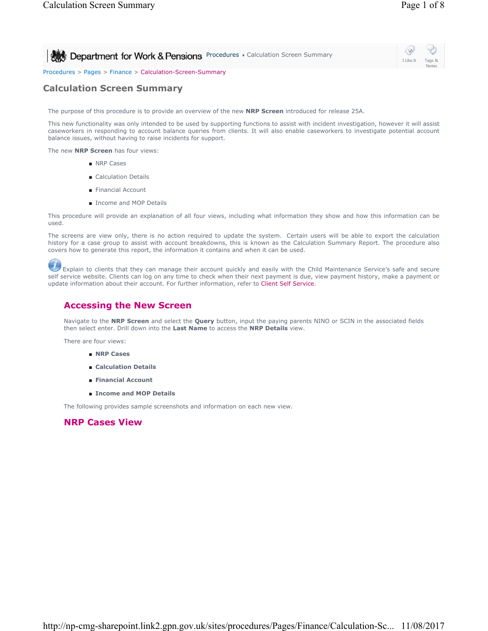**Procedures > Calculation Screen Summary** 



Procedures > Pages > Finance > Calculation-Screen-Summary

## **Calculation Screen Summary**

The purpose of this procedure is to provide an overview of the new **NRP Screen** introduced for release 25A.

This new functionality was only intended to be used by supporting functions to assist with incident investigation, however it will assist caseworkers in responding to account balance queries from clients. It will also enable caseworkers to investigate potential account balance issues, without having to raise incidents for support.

The new **NRP Screen** has four views:

- NRP Cases
- Calculation Details
- Financial Account
- Income and MOP Details

This procedure will provide an explanation of all four views, including what information they show and how this information can be used.

The screens are view only, there is no action required to update the system. Certain users will be able to export the calculation history for a case group to assist with account breakdowns, this is known as the Calculation Summary Report. The procedure also covers how to generate this report, the information it contains and when it can be used.

 Explain to clients that they can manage their account quickly and easily with the Child Maintenance Service's safe and secure self service website. Clients can log on any time to check when their next payment is due, view payment history, make a payment or update information about their account. For further information, refer to Client Self Service.

### **Accessing the New Screen**

Navigate to the **NRP Screen** and select the **Query** button, input the paying parents NINO or SCIN in the associated fields then select enter. Drill down into the **Last Name** to access the **NRP Details** view.

There are four views:

- **NRP Cases**
- **Calculation Details**
- **Financial Account**
- **Income and MOP Details**

The following provides sample screenshots and information on each new view.

### **NRP Cases View**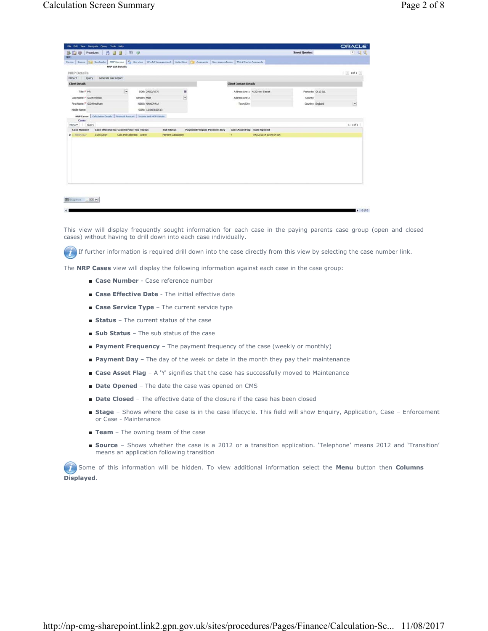| File Edit View Navigate Query Tools Help                                                                               |                                       |                            |                                                                          |                        |                       | <b>ORACLE</b>                          |
|------------------------------------------------------------------------------------------------------------------------|---------------------------------------|----------------------------|--------------------------------------------------------------------------|------------------------|-----------------------|----------------------------------------|
| BRO Procedures   23 H Th 3                                                                                             |                                       |                            |                                                                          |                        | <b>Saved Queries:</b> | $-9$ $-9$                              |
|                                                                                                                        |                                       |                            |                                                                          |                        |                       |                                        |
| Home Cases 111 Contacts NRP Screen 9 Service Work Management Activities 2 Accounts Correspondence Third Party Accounts |                                       |                            |                                                                          |                        |                       |                                        |
| <b>NRP List Details</b>                                                                                                |                                       |                            |                                                                          |                        |                       |                                        |
| <b>NRP</b> Details                                                                                                     |                                       |                            |                                                                          |                        |                       | $\equiv 10^{6}1$                       |
| Menu . Query Generate Calc Report                                                                                      |                                       |                            |                                                                          |                        |                       |                                        |
| <b>Client Details</b>                                                                                                  |                                       |                            | <b>Client Contact Details</b>                                            |                        |                       |                                        |
| $\overline{\mathbf{v}}$<br>Title: <sup>*</sup> NR                                                                      | DOB: 24/02/1975                       | ш                          | Address Line 1: 4132 New Street                                          |                        | Postcode: OL13 OLL    |                                        |
| Last Name: <sup>*</sup> GJDAThomae                                                                                     | Gender: Male                          | $\overline{\phantom{a}}$   | Address Line 2:                                                          |                        | County:               |                                        |
| First Name: <sup>4</sup> GJDAPediham                                                                                   | <b><i><u>NDIO: 768007041A</u></i></b> |                            | Town/Oty:                                                                |                        | Country: England      | $\boxed{\textcolor{blue}{\textbf{w}}}$ |
| Midde Name:                                                                                                            | SCP4: 121003820513                    |                            |                                                                          |                        |                       |                                        |
| NRP Cases   Calculation Details   Financial Account   Income and MCP Details                                           |                                       |                            |                                                                          |                        |                       |                                        |
| Cases                                                                                                                  |                                       |                            |                                                                          |                        |                       |                                        |
| Menu . Query                                                                                                           |                                       |                            |                                                                          |                        |                       | $1 - 10f1$                             |
| Case Effective Da Case Service Typ Status<br><b>Case Number</b>                                                        |                                       | <b>Sub Status</b>          | <b>Payment Freques Payment Day</b><br><b>Case Asset Flag</b> Date Opened |                        |                       |                                        |
| 31/07/2014<br>$2 - 718543377$                                                                                          | Calc and Collection Active            | <b>Perform Calculation</b> | τ.                                                                       | 04/12/2014 10:09:34 AM |                       |                                        |
|                                                                                                                        |                                       |                            |                                                                          |                        |                       |                                        |
|                                                                                                                        |                                       |                            |                                                                          |                        |                       |                                        |
|                                                                                                                        |                                       |                            |                                                                          |                        |                       |                                        |
|                                                                                                                        |                                       |                            |                                                                          |                        |                       |                                        |
|                                                                                                                        |                                       |                            |                                                                          |                        |                       |                                        |
|                                                                                                                        |                                       |                            |                                                                          |                        |                       |                                        |
|                                                                                                                        |                                       |                            |                                                                          |                        |                       |                                        |
|                                                                                                                        |                                       |                            |                                                                          |                        |                       |                                        |
|                                                                                                                        |                                       |                            |                                                                          |                        |                       |                                        |
|                                                                                                                        |                                       |                            |                                                                          |                        |                       |                                        |
|                                                                                                                        |                                       |                            |                                                                          |                        |                       |                                        |
|                                                                                                                        |                                       |                            |                                                                          |                        |                       |                                        |
| <b>ED</b> Snapshot _ $ \mathbf{D}  \times$                                                                             |                                       |                            |                                                                          |                        |                       |                                        |
|                                                                                                                        |                                       |                            |                                                                          |                        |                       |                                        |
|                                                                                                                        |                                       |                            |                                                                          |                        |                       |                                        |

This view will display frequently sought information for each case in the paying parents case group (open and closed cases) without having to drill down into each case individually.

 If further information is required drill down into the case directly from this view by selecting the case number link.  $\left( 7\right)$ 

The **NRP Cases** view will display the following information against each case in the case group:

- **Case Number** Case reference number
- **Case Effective Date** The initial effective date
- **Case Service Type** The current service type
- **Status** The current status of the case
- **Sub Status** The sub status of the case
- **Payment Frequency** The payment frequency of the case (weekly or monthly)
- **Payment Day** The day of the week or date in the month they pay their maintenance
- **Case Asset Flag** A 'Y' signifies that the case has successfully moved to Maintenance
- **Date Opened** The date the case was opened on CMS
- **Date Closed** The effective date of the closure if the case has been closed
- Stage Shows where the case is in the case lifecycle. This field will show Enquiry, Application, Case Enforcement or Case - Maintenance
- **Team** The owning team of the case
- **Source** Shows whether the case is a 2012 or a transition application. 'Telephone' means 2012 and 'Transition' means an application following transition

 Some of this information will be hidden. To view additional information select the **Menu** button then **Columns Displayed**.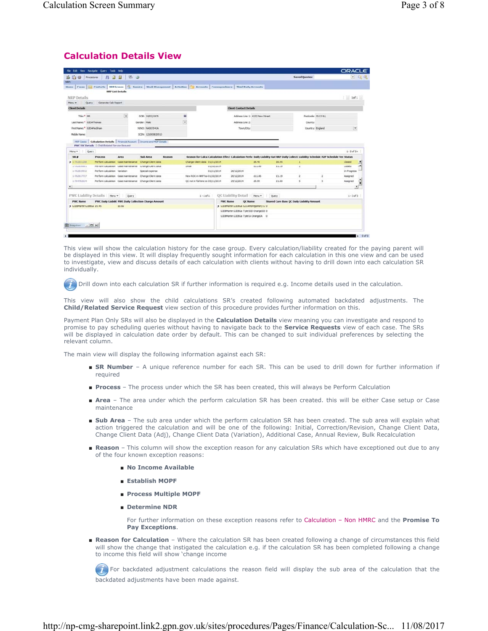# **Calculation Details View**

|                                                                                   | File Edit View Navigate Query Tools Help                                                                                       |                                           |              |                    |        |               |                                   |                 |                                        |               |                                                                                                                                         |                       |                    | <b>ORACLE</b>               |               |
|-----------------------------------------------------------------------------------|--------------------------------------------------------------------------------------------------------------------------------|-------------------------------------------|--------------|--------------------|--------|---------------|-----------------------------------|-----------------|----------------------------------------|---------------|-----------------------------------------------------------------------------------------------------------------------------------------|-----------------------|--------------------|-----------------------------|---------------|
| B THE Procedures                                                                  | -45                                                                                                                            | 石田<br>团员                                  |              |                    |        |               |                                   |                 |                                        |               |                                                                                                                                         | <b>Saved Queries:</b> |                    | $\bullet$ $\alpha$ $\alpha$ |               |
|                                                                                   |                                                                                                                                |                                           |              |                    |        |               |                                   |                 |                                        |               |                                                                                                                                         |                       |                    |                             |               |
| <b>Home</b>                                                                       | Cases   11 Contacts   NRP Screen   Q Service   Work Hanagement   Activities   Accounts   Correspondence   Third Party Accounts |                                           |              |                    |        |               |                                   |                 |                                        |               |                                                                                                                                         |                       |                    |                             |               |
|                                                                                   |                                                                                                                                | <b>NRP List Details</b>                   |              |                    |        |               |                                   |                 |                                        |               |                                                                                                                                         |                       |                    |                             |               |
| NRP Details                                                                       |                                                                                                                                |                                           |              |                    |        |               |                                   |                 |                                        |               |                                                                                                                                         |                       |                    | $ $ Iofi $ $                |               |
| Ouery<br>Merku W                                                                  | Generate Calc Report                                                                                                           |                                           |              |                    |        |               |                                   |                 |                                        |               |                                                                                                                                         |                       |                    |                             |               |
| <b>Client Details</b>                                                             |                                                                                                                                |                                           |              |                    |        |               |                                   |                 | <b>Client Contact Details</b>          |               |                                                                                                                                         |                       |                    |                             |               |
| Title: <sup>4</sup> MR                                                            |                                                                                                                                | $\begin{array}{c} \hline \Xi \end{array}$ |              | DOB: 24/02/1975    |        | 酱             |                                   |                 | Address Line 1: 4132 New Street        |               |                                                                                                                                         |                       | Postcode: OL13 OLL |                             |               |
| Last Name: <sup>4</sup> G.IDAThomas                                               |                                                                                                                                |                                           | Gender: Male |                    |        | Ψ             |                                   |                 | Address Line 2:                        |               |                                                                                                                                         |                       | County:            |                             |               |
| First Name: <sup>8</sup> G.T.MPackham                                             |                                                                                                                                |                                           |              | 1030: NA007041A    |        |               |                                   |                 | Town/City:                             |               |                                                                                                                                         |                       | Country: England   | $\overline{\phantom{a}}$    |               |
|                                                                                   |                                                                                                                                |                                           |              |                    |        |               |                                   |                 |                                        |               |                                                                                                                                         |                       |                    |                             |               |
| Mddle Name:                                                                       |                                                                                                                                |                                           |              | SCIN: 121003820513 |        |               |                                   |                 |                                        |               |                                                                                                                                         |                       |                    |                             |               |
|                                                                                   |                                                                                                                                |                                           |              |                    |        |               |                                   |                 |                                        |               |                                                                                                                                         |                       |                    |                             |               |
| 宋章                                                                                | <b>Process</b>                                                                                                                 | Area                                      |              | <b>Sub Area</b>    | Reason |               |                                   |                 |                                        |               | Reason for Calcu Calculation Effect Calculation Perfo Daily Liability Rat NRP Daily Collect: Liability Schedule P2P Schedule Ver Status |                       |                    | $1 - 5$ of $5 +$            |               |
|                                                                                   | Perform calculation Case maintenance Change Client data                                                                        |                                           |              |                    |        |               | Change Client data 01/11/2014     |                 |                                        | 49.45         | 60.95                                                                                                                                   | 1                     |                    | Closed                      |               |
| 1-762816881                                                                       | Perform calculation Case maintenance Change Client data                                                                        |                                           |              |                    |        | <b>System</b> |                                   | 01/10/2014      |                                        | 611.86        | 61.19                                                                                                                                   |                       |                    | Closed                      |               |
| 1-762819932                                                                       | Perform calculation Variation                                                                                                  |                                           |              | Special expense    |        |               |                                   | 01/11/2014      | 26/12/2014                             |               |                                                                                                                                         |                       |                    | In Progress                 |               |
| 1-762817727                                                                       | Perform calculation Case maintenance Change Client data                                                                        |                                           |              |                    |        |               | New ROC in NRP hoi 01/10/2014     |                 | 26/12/2014                             | £11.86        | 61.19                                                                                                                                   |                       |                    | Assigned                    | $\frac{1}{2}$ |
| 1-764782634                                                                       | Perform calculation Case maintenance Change Client data                                                                        |                                           |              |                    |        |               | QC not in full time ex 05/11/2014 |                 | 29/12/2014                             | 49.99         | £1.00                                                                                                                                   |                       |                    | Assigned                    |               |
|                                                                                   |                                                                                                                                |                                           |              |                    |        |               |                                   |                 |                                        |               |                                                                                                                                         |                       |                    |                             |               |
|                                                                                   | PWC Liability Details   Menu v                                                                                                 | Query                                     |              |                    |        |               | $I-1$ of $I$                      |                 | <b>OC Liability Detail</b>             | Menu <b>v</b> | Ouery                                                                                                                                   |                       |                    | $1 - 3 of 3$                | ÷             |
| <b>PWC Name</b>                                                                   | <b>PWC Daily Liabilit PWC Daily Collection Charge Amount</b>                                                                   |                                           |              |                    |        |               |                                   | <b>PWC Name</b> | QC Name                                |               | Shared Care Banx QC Daily Liability Amount                                                                                              |                       |                    |                             |               |
|                                                                                   |                                                                                                                                | 60.66                                     |              |                    |        |               |                                   |                 | > GJOBMartin GJOBGa GJCAMontgomery G 0 |               |                                                                                                                                         |                       |                    |                             |               |
|                                                                                   |                                                                                                                                |                                           |              |                    |        |               |                                   |                 | GXX8Martin GXX8Ga Tyler200 Orange200 0 |               |                                                                                                                                         |                       |                    |                             |               |
| Menu . Query<br>$-1 - 762831288$<br>$\blacksquare$<br>3 G.XXIMartin G.XXIGa £9.45 |                                                                                                                                |                                           |              |                    |        |               |                                   |                 | GJDBMartin GJDBGa TylerIA OrangeIA 0   |               |                                                                                                                                         |                       |                    |                             |               |
| B Snapshot _ O X                                                                  |                                                                                                                                |                                           |              |                    |        |               |                                   |                 |                                        |               |                                                                                                                                         |                       |                    |                             |               |

This view will show the calculation history for the case group. Every calculation/liability created for the paying parent will be displayed in this view. It will display frequently sought information for each calculation in this one view and can be used to investigate, view and discuss details of each calculation with clients without having to drill down into each calculation SR individually.

Drill down into each calculation SR if further information is required e.g. Income details used in the calculation.

This view will also show the child calculations SR's created following automated backdated adjustments. The **Child/Related Service Request** view section of this procedure provides further information on this.

Payment Plan Only SRs will also be displayed in the **Calculation Details** view meaning you can investigate and respond to promise to pay scheduling queries without having to navigate back to the **Service Requests** view of each case. The SRs will be displayed in calculation date order by default. This can be changed to suit individual preferences by selecting the relevant column.

The main view will display the following information against each SR:

- SR Number A unique reference number for each SR. This can be used to drill down for further information if required
- **Process** The process under which the SR has been created, this will always be Perform Calculation
- Area The area under which the perform calculation SR has been created. this will be either Case setup or Case maintenance
- Sub Area The sub area under which the perform calculation SR has been created. The sub area will explain what action triggered the calculation and will be one of the following: Initial, Correction/Revision, Change Client Data, Change Client Data (Adj), Change Client Data (Variation), Additional Case, Annual Review, Bulk Recalculation
- Reason This column will show the exception reason for any calculation SRs which have exceptioned out due to any of the four known exception reasons:
	- **No Income Available**
	- **Establish MOPF**
	- **Process Multiple MOPF**
	- **Determine NDR**

For further information on these exception reasons refer to Calculation – Non HMRC and the **Promise To Pay Exceptions**.

■ Reason for Calculation - Where the calculation SR has been created following a change of circumstances this field will show the change that instigated the calculation e.g. if the calculation SR has been completed following a change to income this field will show 'change income

 For backdated adjustment calculations the reason field will display the sub area of the calculation that the backdated adjustments have been made against.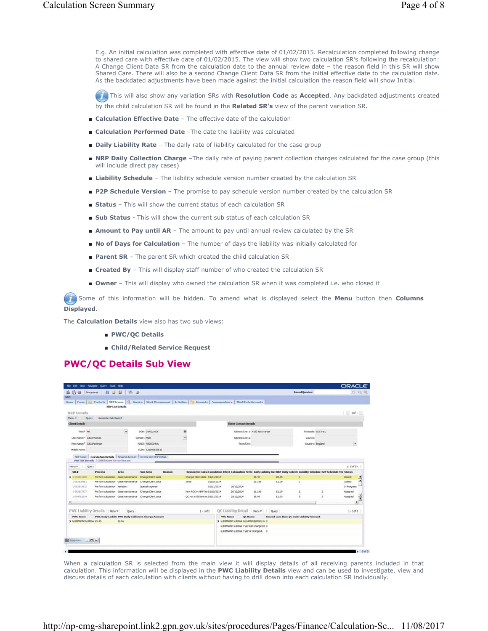E.g. An initial calculation was completed with effective date of 01/02/2015. Recalculation completed following change to shared care with effective date of 01/02/2015. The view will show two calculation SR's following the recalculation: A Change Client Data SR from the calculation date to the annual review date – the reason field in this SR will show Shared Care. There will also be a second Change Client Data SR from the initial effective date to the calculation date. As the backdated adjustments have been made against the initial calculation the reason field will show Initial.

 This will also show any variation SRs with **Resolution Code** as **Accepted**. Any backdated adjustments created by the child calculation SR will be found in the **Related SR's** view of the parent variation SR.

- **Calculation Effective Date** The effective date of the calculation
- **Calculation Performed Date** -The date the liability was calculated
- **Daily Liability Rate** The daily rate of liability calculated for the case group
- NRP Daily Collection Charge -The daily rate of paying parent collection charges calculated for the case group (this will include direct pay cases)
- **Liability Schedule** The liability schedule version number created by the calculation SR
- **P2P Schedule Version** The promise to pay schedule version number created by the calculation SR
- **Status** This will show the current status of each calculation SR
- **Sub Status** This will show the current sub status of each calculation SR
- **Amount to Pay until AR** The amount to pay until annual review calculated by the SR
- **No of Days for Calculation** The number of days the liability was initially calculated for
- **Parent SR** The parent SR which created the child calculation SR
- **Created By** This will display staff number of who created the calculation SR
- **Owner** This will display who owned the calculation SR when it was completed i.e. who closed it

 Some of this information will be hidden. To amend what is displayed select the **Menu** button then **Columns Displayed**.

The **Calculation Details** view also has two sub views:

- **PWC/QC Details**
- **Child/Related Service Request**

#### **PWC/QC Details Sub View**

|                                                                                                       | File Edit View Navigate Query Tools Help                                                                                           |                                                    |              |                    |        |                         |               |                                   |                 |                                        |        |                                                                                                                                         |                       |                    | <b>ORACLE</b>            |                             |
|-------------------------------------------------------------------------------------------------------|------------------------------------------------------------------------------------------------------------------------------------|----------------------------------------------------|--------------|--------------------|--------|-------------------------|---------------|-----------------------------------|-----------------|----------------------------------------|--------|-----------------------------------------------------------------------------------------------------------------------------------------|-----------------------|--------------------|--------------------------|-----------------------------|
| <b>b</b> 日 b Procedures                                                                               | -45<br>и                                                                                                                           | 石口<br><b>B</b>                                     |              |                    |        |                         |               |                                   |                 |                                        |        |                                                                                                                                         | <b>Saved Queries:</b> |                    |                          | $\bullet$ $\alpha$ $\alpha$ |
| <b>IGP:</b>                                                                                           |                                                                                                                                    |                                                    |              |                    |        |                         |               |                                   |                 |                                        |        |                                                                                                                                         |                       |                    |                          |                             |
|                                                                                                       | Home Cases   U Contacts   NRP Screen   C Service   Work Hanagement   Activities   Accounts   Correspondence   Third Party Accounts |                                                    |              |                    |        |                         |               |                                   |                 |                                        |        |                                                                                                                                         |                       |                    |                          |                             |
|                                                                                                       |                                                                                                                                    | <b>IRP List Details</b>                            |              |                    |        |                         |               |                                   |                 |                                        |        |                                                                                                                                         |                       |                    |                          |                             |
| <b>NRP</b> Details                                                                                    |                                                                                                                                    |                                                    |              |                    |        |                         |               |                                   |                 |                                        |        |                                                                                                                                         |                       |                    | $ $ Iof 1 $ $            |                             |
| Merits W1<br>Ouery                                                                                    | Generate Calc Report                                                                                                               |                                                    |              |                    |        |                         |               |                                   |                 |                                        |        |                                                                                                                                         |                       |                    |                          |                             |
| <b>Client Details</b>                                                                                 |                                                                                                                                    |                                                    |              |                    |        |                         |               |                                   |                 | <b>Client Contact Details</b>          |        |                                                                                                                                         |                       |                    |                          |                             |
| Title: * 340                                                                                          |                                                                                                                                    | $\begin{array}{ c } \hline \textbf{w} \end{array}$ |              | DOB: 24/02/1975    |        | 固                       |               |                                   |                 | Address Line 1: 4132 New Street        |        |                                                                                                                                         |                       | Postcode: OL13 OL1 |                          |                             |
| Last Name: <sup>4</sup> G.IDAThomas                                                                   |                                                                                                                                    |                                                    | Gender: Male |                    |        | $\overline{\mathbf{v}}$ |               |                                   |                 | Address Line 2:                        |        |                                                                                                                                         |                       | County:            |                          |                             |
|                                                                                                       |                                                                                                                                    |                                                    |              |                    |        |                         |               |                                   |                 |                                        |        |                                                                                                                                         |                       |                    | $\overline{\phantom{a}}$ |                             |
| First Name: <sup>*</sup> G.DAPediham                                                                  |                                                                                                                                    |                                                    |              | 1010: NA007041A    |        |                         |               |                                   |                 | Town/City:                             |        |                                                                                                                                         |                       | Country: England   |                          |                             |
| Mddle Name:                                                                                           |                                                                                                                                    |                                                    |              | SCIN: 121003820513 |        |                         |               |                                   |                 |                                        |        |                                                                                                                                         |                       |                    |                          |                             |
|                                                                                                       |                                                                                                                                    |                                                    |              |                    |        |                         |               |                                   |                 |                                        |        |                                                                                                                                         |                       |                    |                          |                             |
| Query<br>宋章                                                                                           | <b>Process</b>                                                                                                                     | Area                                               | Sob Area     |                    | Reason |                         |               |                                   |                 |                                        |        | Reason for Calcu Calculation Effect Calculation Perfo Daily Liability Rat NRP Daily Collecti Liability Schedule P2P Schedule Ver Status |                       |                    | $1 - 5$ of $5 +$         |                             |
|                                                                                                       | Perform calculation Case maintenance Change Client data                                                                            |                                                    |              |                    |        |                         |               | Change Client data 01/11/2014     |                 |                                        | 49.45  | 60.95                                                                                                                                   | t                     |                    | Closed                   |                             |
|                                                                                                       | Perform calculation Case maintenance Change Client data                                                                            |                                                    |              |                    |        |                         | <b>System</b> | 01/10/2014                        |                 |                                        | £11.86 | 61.19                                                                                                                                   |                       |                    | Closed                   |                             |
| 1-762816881<br>1-762819932                                                                            | Perform calculation Variation                                                                                                      |                                                    |              | Special expense    |        |                         |               | 01/11/2014                        |                 | 26/12/2014                             |        |                                                                                                                                         |                       |                    | In Progress              |                             |
| $1-76.2817727$                                                                                        | Perform calculation Case maintenance Change Client data                                                                            |                                                    |              |                    |        |                         |               | New ROC in NRP hoi 01/10/2014     |                 | 26/12/2014                             | £11.86 | 61.19                                                                                                                                   |                       |                    | Assigned                 |                             |
| 1-764782634                                                                                           | Perform calculation Case mantenance Change Client data                                                                             |                                                    |              |                    |        |                         |               | QC not in full time ex 05/11/2014 |                 | 29/12/2014                             | £9.99  | £1.00                                                                                                                                   |                       |                    | Assigned                 | $\frac{1}{2}$<br>Ŧ          |
|                                                                                                       |                                                                                                                                    |                                                    |              |                    |        |                         |               |                                   |                 |                                        |        |                                                                                                                                         |                       |                    |                          |                             |
|                                                                                                       | PWC Liability Details   Meru -                                                                                                     | Query                                              |              |                    |        |                         |               | $I - I of 1$                      |                 | <b>QC Liability Detail</b> Meru        |        | Query                                                                                                                                   |                       |                    | $1 - 3 of 3$             |                             |
| <b>PWC Name</b>                                                                                       | PWC Daily Liabilit PWC Daily Collection Charge Amount                                                                              |                                                    |              |                    |        |                         |               |                                   | <b>PWC Name</b> | QC Name                                |        | Shared Care Banx QC Daily Liability Amount                                                                                              |                       |                    |                          |                             |
|                                                                                                       |                                                                                                                                    | 60.66                                              |              |                    |        |                         |               |                                   |                 | > GJOSPAYSh GJOSGa GJCAPIontgomery G 0 |        |                                                                                                                                         |                       |                    |                          |                             |
|                                                                                                       |                                                                                                                                    |                                                    |              |                    |        |                         |               |                                   |                 | GJ08Martin GJ08Ga Tyler200 Orange200 0 |        |                                                                                                                                         |                       |                    |                          |                             |
|                                                                                                       |                                                                                                                                    |                                                    |              |                    |        |                         |               |                                   |                 | GJDBMartin GJDBGa TylerSA OrangeSA 0   |        |                                                                                                                                         |                       |                    |                          |                             |
| Mersu w<br>$2.1 - 76.2831288$<br>$\epsilon$<br>3 G.XXIMartin G.XXIGa £9.45<br><b>B</b> Snapshot _ O x |                                                                                                                                    |                                                    |              |                    |        |                         |               |                                   |                 |                                        |        |                                                                                                                                         |                       |                    |                          |                             |

When a calculation SR is selected from the main view it will display details of all receiving parents included in that calculation. This information will be displayed in the **PWC Liability Details** view and can be used to investigate, view and discuss details of each calculation with clients without having to drill down into each calculation SR individually.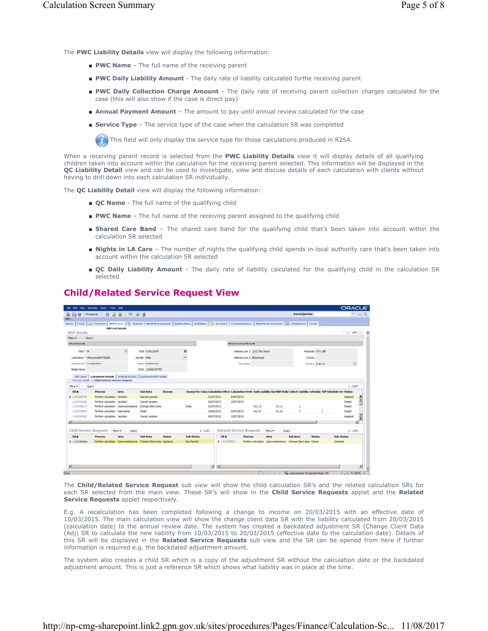The **PWC Liability Details** view will display the following information:

- **PWC Name** The full name of the receiving parent
- **PWC Daily Liability Amount** The daily rate of liability calculated forthe receiving parent
- PWC Daily Collection Charge Amount The daily rate of receiving parent collection charges calculated for the case (this will also show if the case is direct pay)
- **Annual Payment Amount** The amount to pay until annual review calculated for the case
- **Service Type** The service type of the case when the calculation SR was completed

This field will only display the service type for those calculations produced in R25A.

When a receiving parent record is selected from the **PWC Liability Details** view it will display details of all qualifying children taken into account within the calculation for the receiving parent selected. This information will be displayed in the **QC Liability Detail** view and can be used to investigate, view and discuss details of each calculation with clients without having to drill down into each calculation SR individually.

The **QC Liability Detail** view will display the following information:

- **QC Name** The full name of the qualifying child
- **PWC Name** The full name of the receiving parent assigned to the qualifying child
- Shared Care Band The shared care band for the qualifying child that's been taken into account within the calculation SR selected
- **Nights in LA Care** The number of nights the qualifying child spends in local authority care that's been taken into account within the calculation SR selected
- **QC Daily Liability Amount** The daily rate of liability calculated for the qualifying child in the calculation SR selected

## **Child/Related Service Request View**

|                                   | File Edit View Navigate Query Tools Help                                                                                 |                        |                        |               |                          |                |                               |                                 |                 |                                                                                                                                         |                   | <b>ORACLE</b> |                |
|-----------------------------------|--------------------------------------------------------------------------------------------------------------------------|------------------------|------------------------|---------------|--------------------------|----------------|-------------------------------|---------------------------------|-----------------|-----------------------------------------------------------------------------------------------------------------------------------------|-------------------|---------------|----------------|
| ■ 白 @ Procedures                  | <b>A</b><br>и                                                                                                            | 石山画<br>旧               |                        |               |                          |                |                               |                                 |                 | <b>Saved Queries:</b>                                                                                                                   |                   |               | $  -$          |
| <b>Home</b><br>Cases <sup>1</sup> | 0.0 Contacts NRP Screen   C Service   Work Hanagement   Applications   Activities                                        |                        |                        |               |                          |                |                               |                                 |                 | Accounts   Correspondence   Third Party Accounts   2   Employees   Leads                                                                |                   |               |                |
| NRP Details                       | <b>HRP List Details</b>                                                                                                  |                        |                        |               |                          |                |                               |                                 |                 |                                                                                                                                         |                   | 10f1          |                |
| Ouery<br>Menu w                   |                                                                                                                          |                        |                        |               |                          |                |                               |                                 |                 |                                                                                                                                         |                   |               |                |
| <b>Client Details</b>             |                                                                                                                          |                        |                        |               |                          |                | <b>Client Contact Details</b> |                                 |                 |                                                                                                                                         |                   |               |                |
| Title:* Mr                        |                                                                                                                          | $\boxed{\blacksquare}$ | DOB: 01/01/1979        |               | 酱                        |                |                               | Address Line 1: 1212 The Street |                 |                                                                                                                                         | Postcode: OH1 1AB |               |                |
|                                   | Last Name: * ZMacdonaidATVRABN                                                                                           |                        | Gender: Male           |               | $\overline{\phantom{a}}$ |                | Address Line 2: Britenhead    |                                 |                 | Counts:                                                                                                                                 |                   |               |                |
| First Name: " 3mCQPOERY           |                                                                                                                          |                        | <b>NEWS: RN000471A</b> |               |                          |                | Town/Oty:                     |                                 |                 |                                                                                                                                         | Country: England  |               | $\overline{ }$ |
| Middle Name:                      |                                                                                                                          |                        | SCR: 121002437787      |               |                          |                |                               |                                 |                 |                                                                                                                                         |                   |               |                |
|                                   |                                                                                                                          |                        |                        |               |                          |                |                               |                                 |                 |                                                                                                                                         |                   |               |                |
| 160 Cases                         | Calculation Details   Financial Account   Drome and HOP Details<br><b>PWC/QC Details   Child/Related Service Request</b> |                        |                        |               |                          |                |                               |                                 |                 |                                                                                                                                         |                   |               |                |
| Mers. *<br><b>Query</b>           |                                                                                                                          |                        |                        |               |                          |                |                               |                                 |                 |                                                                                                                                         |                   | $1 - 5$ of 7  |                |
| SR #                              | <b>Process</b>                                                                                                           | Arra                   | <b>Sub Area</b>        | Reason        |                          |                |                               |                                 |                 | Reason for Calcu Calculation Effect Calculation Perfo Daily Liability Rat NRP Daily Collect: Liability Schedule P2P Schedule Ver Status |                   |               |                |
| $1 - 515760378$                   | Perform cain lation Variation                                                                                            |                        | Special expense        |               |                          | 01/07/2013     | 04/07/2013                    |                                 |                 |                                                                                                                                         |                   | Assgred       | $\frac{1}{2}$  |
| 1415762646                        | Perform calculation Variation                                                                                            |                        | Cancel variation       |               |                          | 02/07/2013     | 10/07/2013                    |                                 |                 |                                                                                                                                         |                   | Closed        |                |
| 1-515760017                       | Perform calculation Case maintenance                                                                                     |                        | Change Client data     |               | Initial                  | 01/07/2013     |                               | 11.13                           | 61.11           |                                                                                                                                         |                   | Closed        |                |
|                                   |                                                                                                                          |                        |                        |               |                          |                |                               |                                 |                 |                                                                                                                                         |                   |               |                |
| 1-515759659                       | Perform calculation Case setup                                                                                           |                        | <b>Smithal</b>         |               |                          | 19/06/2013     | 04/07/2013                    | £12.27                          | £1.23           |                                                                                                                                         |                   | Closed        |                |
| 1-518340992                       | Perform calculation Variation                                                                                            |                        | Cancel variation       |               |                          | 09/07/2013     | 12/07/2013                    |                                 |                 |                                                                                                                                         |                   | Assigned      | Ť              |
|                                   |                                                                                                                          |                        |                        |               |                          |                |                               |                                 |                 |                                                                                                                                         |                   |               | ×ſ             |
|                                   | Child Service Requests   New -                                                                                           | Query                  |                        |               | $1 - 1$ of $1$           |                | Related Service Requests      |                                 | Menu *<br>Query |                                                                                                                                         |                   | $1 - 1$ of 1  |                |
| SR #                              | <b>Process</b>                                                                                                           | Area                   | <b>Sub Area</b>        | <b>Status</b> | Sub-Status               | 58.8           | <b>Process</b>                |                                 | Area            | <b>Sub Area</b>                                                                                                                         | <b>Status</b>     | Sub-Status    |                |
| 3 1-515760904                     | Perform calculation Case maintenance Change Client data / Assigned                                                       |                        |                        |               | Not Started              | 1415759353     |                               |                                 |                 | Perform calculation Case maintenance Change Client data Closed                                                                          |                   | Complete      |                |
|                                   |                                                                                                                          |                        |                        |               |                          | $\blacksquare$ |                               |                                 |                 |                                                                                                                                         |                   |               | ×.             |

The **Child/Related Service Request** sub view will show the child calculation SR's and the related calculation SRs for each SR selected from the main view. These SR's will show in the **Child Service Requests** applet and the **Related Service Requests** applet respectively.

E.g. A recalculation has been completed following a change to income on 20/03/2015 with an effective date of 10/03/2015. The main calculation view will show the change client data SR with the liability calculated from 20/03/2015 (calculation date) to the annual review date. The system has created a backdated adjustment SR (Change Client Data (Adj) SR to calculate the new liability from 10/03/2015 to 20/03/2015 (effective date to the calculation date). Details of this SR will be displayed in the **Related Service Requests** sub view and the SR can be opened from here if further information is required e.g. the backdated adjustment amount.

The system also creates a child SR which is a copy of the adjustment SR without the calculation date or the backdated adjustment amount. This is just a reference SR which shows what liability was in place at the time.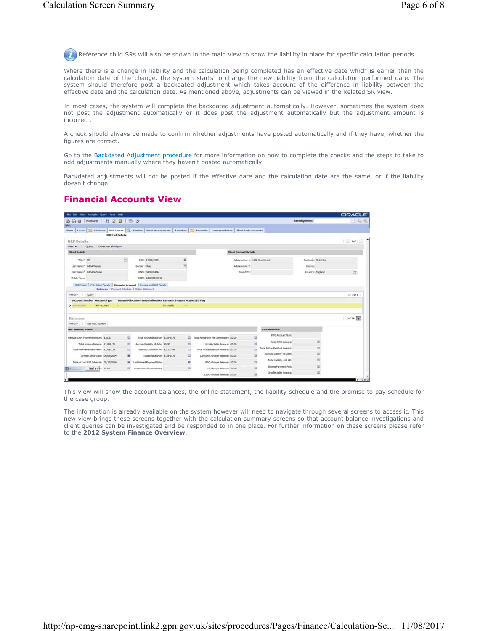Reference child SRs will also be shown in the main view to show the liability in place for specific calculation periods.

Where there is a change in liability and the calculation being completed has an effective date which is earlier than the calculation date of the change, the system starts to charge the new liability from the calculation performed date. The system should therefore post a backdated adjustment which takes account of the difference in liability between the effective date and the calculation date. As mentioned above, adjustments can be viewed in the Related SR view.

In most cases, the system will complete the backdated adjustment automatically. However, sometimes the system does not post the adjustment automatically or it does post the adjustment automatically but the adjustment amount is incorrect.

A check should always be made to confirm whether adjustments have posted automatically and if they have, whether the figures are correct.

Go to the Backdated Adjustment procedure for more information on how to complete the checks and the steps to take to add adjustments manually where they haven't posted automatically.

Backdated adjustments will not be posted if the effective date and the calculation date are the same, or if the liability doesn't change.

# **Financial Accounts View**

|                                                                                                                                                                                      | File Edit Vew Nevigate Query Tools Help   |                                                                                                                       |                           |                                             |                                 |                                      |                       | <b>ORACLE</b>               |
|--------------------------------------------------------------------------------------------------------------------------------------------------------------------------------------|-------------------------------------------|-----------------------------------------------------------------------------------------------------------------------|---------------------------|---------------------------------------------|---------------------------------|--------------------------------------|-----------------------|-----------------------------|
| ■ 白 → Procedures   丹                                                                                                                                                                 | 38                                        | 石田                                                                                                                    |                           |                                             |                                 |                                      | <b>Saved Queries:</b> | $\bullet$ $\alpha$ $\alpha$ |
| <b>NAP:</b><br>Home Cases 31 Contacts   NRP Screen   C Service   Work Hanagement   Activities   Accounts   Correspondence   Third Party Accounts                                     | <b>NRP List Details</b>                   |                                                                                                                       |                           |                                             |                                 |                                      |                       |                             |
| NRP Details<br>Generate Calc Report                                                                                                                                                  |                                           |                                                                                                                       |                           |                                             |                                 |                                      |                       | $1$ Tof 1 $-$               |
| Menu v Query<br><b>Client Details</b>                                                                                                                                                |                                           |                                                                                                                       |                           |                                             | <b>Client Contact Details</b>   |                                      |                       |                             |
| Title: <sup>4</sup> MR                                                                                                                                                               | $\begin{array}{c} \hline \Xi \end{array}$ | DOB: 24/02/1975                                                                                                       | 固                         |                                             | Address Line 1: 4132 New Street |                                      | Postcode: OL13 OLL    |                             |
| Last Name: <sup>*</sup> G.IDAThomas                                                                                                                                                  |                                           | Gender: Male                                                                                                          | $\overline{\phantom{a}}$  |                                             | Address Line 2:                 |                                      | County:               |                             |
| First Name: <sup>*</sup> G.IDAPediham                                                                                                                                                |                                           | NINO: NA007041A                                                                                                       |                           |                                             | Town/City:                      |                                      | Country: England      | $\boxed{\mathbf{v}}$        |
| Mddle Name:                                                                                                                                                                          |                                           | SCIN: 121003820513                                                                                                    |                           |                                             |                                 |                                      |                       |                             |
| NRP Cases   Calculation Details   Financial Account   Income and HCP Details<br>Account Number Account Type                                                                          |                                           | Balances   Payment Schedule   Online Statement<br>Hanual Allocation Manual Allocation Payment Freques Active DEO Flag |                           |                                             |                                 |                                      |                       | $1 - 1011$                  |
| <b>NRF Account</b><br>Get PWC Account                                                                                                                                                | $\mathbf{N}$                              |                                                                                                                       | $\mathbf{N}$<br>02-Weekly |                                             |                                 |                                      |                       |                             |
|                                                                                                                                                                                      |                                           |                                                                                                                       |                           |                                             |                                 | <b>PWC Balances</b>                  |                       |                             |
|                                                                                                                                                                                      | 出                                         | Total Accrued Balance: £1,548.71                                                                                      |                           | 图<br>Total Arrears to the Commission: £0.00 |                                 | <b>PWC Account Num:</b>              |                       |                             |
| Total Arrears Balance: £1,848.71                                                                                                                                                     | $\equiv$                                  | Accrued Liability til date: £9.99                                                                                     |                           | <b>15</b><br>Uncollectable Arrears: £0.00   |                                 | Total PAIC Arrears:<br>器             | 出                     |                             |
| Total Maintenance Arrears: £1,680.24                                                                                                                                                 | $\equiv$                                  | Total o/s OGM until AR: £2,137.86                                                                                     |                           | 凹<br>Total Active Residual Arrears: £0.00   |                                 | <b>Total Active Residual Amears:</b> | 出                     |                             |
| Arrears Since Date: 06/08/2014                                                                                                                                                       | н                                         | Total o/s Balance: £1,848.71                                                                                          |                           | 旨<br>DEO/DER Charge Balance: \$0.00         |                                 | Accrued Liability Till Date:         | 益                     |                             |
| Date of Last P2P Schedule: 29/12/2014                                                                                                                                                | ×                                         | Last Mased Payment Date:                                                                                              |                           | н<br>RDO Charge Balance: £0.00              |                                 | Total Liability until AR:<br>B       | B                     |                             |
| Menu = Query<br>3000265568<br><b>Balances</b><br>Menu w<br><b>NRP Balance Details</b><br>Regular OGN Payment Amount: £70.53<br><b>ED</b> Snapshot _ $\boxed{ \Box \times }$ e: 49.00 | $=$                                       | Last Mased Payment Ant:                                                                                               |                           | ш<br>LO Charge Balance: £0.00               |                                 | <b>Excess Payment Ant:</b><br>ш      | ш                     | $10^{f}1 + \frac{f-1}{2}$   |

This view will show the account balances, the online statement, the liability schedule and the promise to pay schedule for the case group.

The information is already available on the system however will need to navigate through several screens to access it. This new view brings these screens together with the calculation summary screens so that account balance investigations and client queries can be investigated and be responded to in one place. For further information on these screens please refer to the **2012 System Finance Overview**.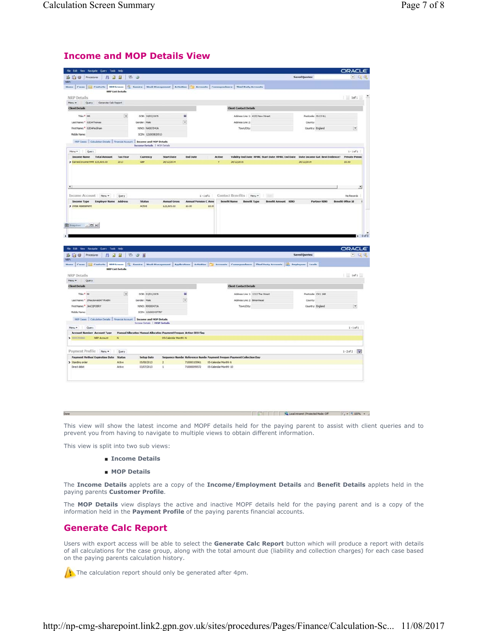#### **Income and MOP Details View**

| 当時●   Procedures   丹 日 日   石 ④                                                                                                                                                                                                                                                                                                                                                                                                                                                                                                      |                                 |                                                                                                    |                                       |                                                                       | <b>Saved Queries:</b>                                                                                       | $\bullet$ 0                  |
|-------------------------------------------------------------------------------------------------------------------------------------------------------------------------------------------------------------------------------------------------------------------------------------------------------------------------------------------------------------------------------------------------------------------------------------------------------------------------------------------------------------------------------------|---------------------------------|----------------------------------------------------------------------------------------------------|---------------------------------------|-----------------------------------------------------------------------|-------------------------------------------------------------------------------------------------------------|------------------------------|
|                                                                                                                                                                                                                                                                                                                                                                                                                                                                                                                                     |                                 |                                                                                                    |                                       |                                                                       |                                                                                                             |                              |
| Home Cases 31 Contacts 809 Screen 9 Service Work Hanagement Activities 3 Accounts Correspondence Third Party Accounts                                                                                                                                                                                                                                                                                                                                                                                                               |                                 |                                                                                                    |                                       |                                                                       |                                                                                                             |                              |
| <b>NRP List Details</b>                                                                                                                                                                                                                                                                                                                                                                                                                                                                                                             |                                 |                                                                                                    |                                       |                                                                       |                                                                                                             |                              |
| <b>NRP</b> Details<br>Heru . Query Generate Calc Report                                                                                                                                                                                                                                                                                                                                                                                                                                                                             |                                 |                                                                                                    |                                       |                                                                       |                                                                                                             | $1$ iof $1$ $\ge$            |
| <b>Client Details</b>                                                                                                                                                                                                                                                                                                                                                                                                                                                                                                               |                                 |                                                                                                    |                                       | <b>Client Contact Details</b>                                         |                                                                                                             |                              |
| Triet <sup>4</sup> MR                                                                                                                                                                                                                                                                                                                                                                                                                                                                                                               |                                 | $\overline{\mathbf{36}}$                                                                           |                                       | Address Line 1: 4132 New Street                                       |                                                                                                             |                              |
| ₩<br>Last Name: <sup>*</sup> GJDAThomas                                                                                                                                                                                                                                                                                                                                                                                                                                                                                             | DOB: 24/03/1975<br>Gender: Male | $\overline{\mathbf{r}}$                                                                            |                                       | Address Line 2:                                                       | Postcode: CL13 OLL<br>County:                                                                               |                              |
| First Name: <sup>®</sup> G.IDAPediham                                                                                                                                                                                                                                                                                                                                                                                                                                                                                               | NINO: NADDZD41A                 |                                                                                                    |                                       | Town/City:                                                            | Country: England                                                                                            |                              |
| Mddle Name:                                                                                                                                                                                                                                                                                                                                                                                                                                                                                                                         | SCIN: 121003820513              |                                                                                                    |                                       |                                                                       |                                                                                                             |                              |
| NRP Cases   Calculation Details   Financial Account   Income and HOP Details                                                                                                                                                                                                                                                                                                                                                                                                                                                        |                                 |                                                                                                    |                                       |                                                                       |                                                                                                             |                              |
|                                                                                                                                                                                                                                                                                                                                                                                                                                                                                                                                     | Income Details   NOP Details    |                                                                                                    |                                       |                                                                       |                                                                                                             |                              |
| Menu = Query                                                                                                                                                                                                                                                                                                                                                                                                                                                                                                                        |                                 |                                                                                                    |                                       |                                                                       |                                                                                                             | $1 - 1011$                   |
| Income Name Total Amount<br><b>Tax Year</b><br>Earned Income + PR £25,605.00<br>2013                                                                                                                                                                                                                                                                                                                                                                                                                                                | Currency<br>œ                   | <b>Start Date</b><br>26/12/2014                                                                    | <b>End Date</b><br>Active             | 26/12/2015                                                            | Validity End Date HMRC Start Date HMRC End Date Date Income Gat Best Evidence? Private Pensic<br>26/12/2014 | 40.05                        |
|                                                                                                                                                                                                                                                                                                                                                                                                                                                                                                                                     |                                 |                                                                                                    |                                       |                                                                       |                                                                                                             |                              |
|                                                                                                                                                                                                                                                                                                                                                                                                                                                                                                                                     |                                 |                                                                                                    |                                       |                                                                       |                                                                                                             |                              |
|                                                                                                                                                                                                                                                                                                                                                                                                                                                                                                                                     |                                 |                                                                                                    |                                       |                                                                       |                                                                                                             |                              |
| $\left  \cdot \right $                                                                                                                                                                                                                                                                                                                                                                                                                                                                                                              |                                 |                                                                                                    |                                       |                                                                       |                                                                                                             |                              |
|                                                                                                                                                                                                                                                                                                                                                                                                                                                                                                                                     |                                 |                                                                                                    |                                       |                                                                       |                                                                                                             |                              |
| Income Account   Menu =   Query                                                                                                                                                                                                                                                                                                                                                                                                                                                                                                     |                                 |                                                                                                    | $I - I of 1$                          | Contact Benefits   Meru .                                             |                                                                                                             | No Records                   |
| Income Type Employer Name Address<br>> Initial Assessment                                                                                                                                                                                                                                                                                                                                                                                                                                                                           | Status<br><b>Active</b>         | <b>Annual Gross</b><br>625,605.00<br>60.00                                                         | <b>Annual Pension C Annu</b><br>40.00 | Benefit Name Benefit Type Benefit Amount N310                         | Partner NINO                                                                                                | Benefit Office 14            |
|                                                                                                                                                                                                                                                                                                                                                                                                                                                                                                                                     |                                 |                                                                                                    |                                       |                                                                       |                                                                                                             |                              |
|                                                                                                                                                                                                                                                                                                                                                                                                                                                                                                                                     |                                 |                                                                                                    |                                       |                                                                       |                                                                                                             |                              |
|                                                                                                                                                                                                                                                                                                                                                                                                                                                                                                                                     |                                 |                                                                                                    |                                       |                                                                       |                                                                                                             | ORACLE                       |
| ESpecial . 0 x<br>File Edit View Nevigate Query Tools Help<br>BRO Procedures   AR JR BOR                                                                                                                                                                                                                                                                                                                                                                                                                                            |                                 |                                                                                                    |                                       |                                                                       | <b>Saved Queries:</b>                                                                                       | $  -$                        |
|                                                                                                                                                                                                                                                                                                                                                                                                                                                                                                                                     |                                 |                                                                                                    |                                       |                                                                       |                                                                                                             |                              |
| <b>HRP List Details</b>                                                                                                                                                                                                                                                                                                                                                                                                                                                                                                             |                                 |                                                                                                    |                                       |                                                                       |                                                                                                             |                              |
|                                                                                                                                                                                                                                                                                                                                                                                                                                                                                                                                     |                                 |                                                                                                    |                                       |                                                                       |                                                                                                             | 1011                         |
|                                                                                                                                                                                                                                                                                                                                                                                                                                                                                                                                     |                                 |                                                                                                    |                                       | <b>Client Contact Details</b>                                         |                                                                                                             |                              |
| Title: <sup>4</sup> 34<br>₩                                                                                                                                                                                                                                                                                                                                                                                                                                                                                                         | DOB: 01/01/1979                 | ×                                                                                                  |                                       | Address Line 1: 1212 The Street                                       | Postcode: O11 1AB                                                                                           |                              |
|                                                                                                                                                                                                                                                                                                                                                                                                                                                                                                                                     | <b>Gender: Male</b>             | $\overline{\phantom{a}}$                                                                           |                                       | Address Line 2: Birkenhead                                            | County:                                                                                                     |                              |
|                                                                                                                                                                                                                                                                                                                                                                                                                                                                                                                                     | <b>NINO: RN000471A</b>          |                                                                                                    |                                       | Town/Ohy:                                                             | Country: England                                                                                            | ☞                            |
|                                                                                                                                                                                                                                                                                                                                                                                                                                                                                                                                     | SCIN: 121002437787              |                                                                                                    |                                       |                                                                       |                                                                                                             |                              |
| NFP Cases   Calculation Details   Financial Account   Income and MOP Details                                                                                                                                                                                                                                                                                                                                                                                                                                                        |                                 |                                                                                                    |                                       |                                                                       |                                                                                                             |                              |
|                                                                                                                                                                                                                                                                                                                                                                                                                                                                                                                                     | Income Details   PROP Details   |                                                                                                    |                                       |                                                                       |                                                                                                             |                              |
|                                                                                                                                                                                                                                                                                                                                                                                                                                                                                                                                     |                                 |                                                                                                    |                                       |                                                                       |                                                                                                             | $1 - 1$ of 1                 |
| N                                                                                                                                                                                                                                                                                                                                                                                                                                                                                                                                   |                                 | <b>Hanual Allocation Hanual Allocation Payment Freques Active DEO Flag</b><br>05-Calendar Monthé N |                                       |                                                                       |                                                                                                             |                              |
|                                                                                                                                                                                                                                                                                                                                                                                                                                                                                                                                     |                                 |                                                                                                    |                                       |                                                                       |                                                                                                             |                              |
|                                                                                                                                                                                                                                                                                                                                                                                                                                                                                                                                     |                                 |                                                                                                    |                                       |                                                                       |                                                                                                             |                              |
|                                                                                                                                                                                                                                                                                                                                                                                                                                                                                                                                     | <b>Setup Date</b>               |                                                                                                    |                                       | Sequence Numbe Reference Numb: Payment Freques Payment Collection Day |                                                                                                             | $1 - 2$ of $2 - \frac{1}{2}$ |
| Home Cases  31 Contacts   NBP Screen   Q Service   Work Hanagement   Applications   Activities   B Accounts   Correspondence   Third Party Accounts   C: Employees   Leads<br>NRP Details<br>Netuw Query<br><b>Client Details</b><br>Last Name: <sup>*</sup> ZMacdonaldATYRABN<br>First Name: <sup>*</sup> JimCQPOERY<br>Mddle Name:<br>New Cuery<br><b>Account Number Account Type</b><br>3000200860 NRP Account<br>Payment Profile   Meni +   Query<br><b>Payment Hethod Expiration Date</b> Status<br>> Standing order<br>Active | 05/08/2013                      | $\overline{z}$                                                                                     | 710000105961 05-Calendar Monthé 6     |                                                                       |                                                                                                             |                              |
| Drect debit<br>Active                                                                                                                                                                                                                                                                                                                                                                                                                                                                                                               | 03/07/2013                      | $\overline{\phantom{a}}$                                                                           | 710000099572<br>05-Calendar Months 10 |                                                                       |                                                                                                             |                              |
|                                                                                                                                                                                                                                                                                                                                                                                                                                                                                                                                     |                                 |                                                                                                    |                                       |                                                                       |                                                                                                             |                              |
|                                                                                                                                                                                                                                                                                                                                                                                                                                                                                                                                     |                                 |                                                                                                    |                                       |                                                                       |                                                                                                             |                              |

This view will show the latest income and MOPF details held for the paying parent to assist with client queries and to prevent you from having to navigate to multiple views to obtain different information.

Value of Patient Protected Mode: Off ( A = 1, 105% + 2)

This view is split into two sub views:

Done

- **Income Details**
- **MOP Details**

The **Income Details** applets are a copy of the **Income/Employment Details** and **Benefit Details** applets held in the paying parents **Customer Profile**.

The **MOP Details** view displays the active and inactive MOPF details held for the paying parent and is a copy of the information held in the **Payment Profile** of the paying parents financial accounts.

# **Generate Calc Report**

Users with export access will be able to select the **Generate Calc Report** button which will produce a report with details of all calculations for the case group, along with the total amount due (liability and collection charges) for each case based on the paying parents calculation history.